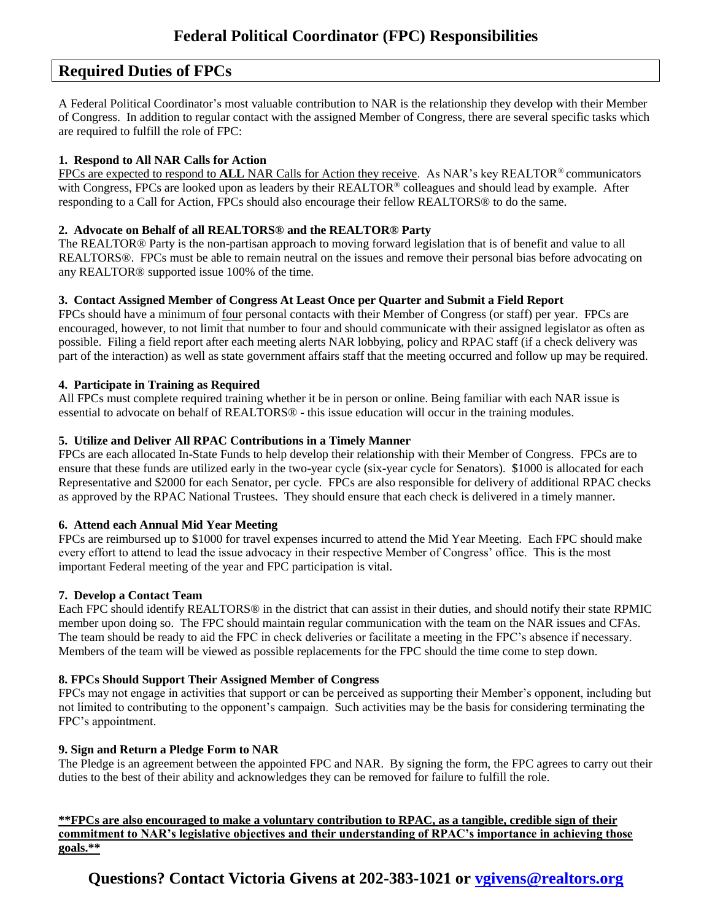## **Required Duties of FPCs**

A Federal Political Coordinator's most valuable contribution to NAR is the relationship they develop with their Member of Congress. In addition to regular contact with the assigned Member of Congress, there are several specific tasks which are required to fulfill the role of FPC:

## **1. Respond to All NAR Calls for Action**

FPCs are expected to respond to **ALL** NAR Calls for Action they receive. As NAR's key REALTOR® communicators with Congress, FPCs are looked upon as leaders by their REALTOR® colleagues and should lead by example. After responding to a Call for Action, FPCs should also encourage their fellow REALTORS® to do the same.

## **2. Advocate on Behalf of all REALTORS® and the REALTOR® Party**

The REALTOR® Party is the non-partisan approach to moving forward legislation that is of benefit and value to all REALTORS®. FPCs must be able to remain neutral on the issues and remove their personal bias before advocating on any REALTOR® supported issue 100% of the time.

## **3. Contact Assigned Member of Congress At Least Once per Quarter and Submit a Field Report**

FPCs should have a minimum of four personal contacts with their Member of Congress (or staff) per year. FPCs are encouraged, however, to not limit that number to four and should communicate with their assigned legislator as often as possible. Filing a field report after each meeting alerts NAR lobbying, policy and RPAC staff (if a check delivery was part of the interaction) as well as state government affairs staff that the meeting occurred and follow up may be required.

## **4. Participate in Training as Required**

All FPCs must complete required training whether it be in person or online. Being familiar with each NAR issue is essential to advocate on behalf of REALTORS® - this issue education will occur in the training modules.

## **5. Utilize and Deliver All RPAC Contributions in a Timely Manner**

FPCs are each allocated In-State Funds to help develop their relationship with their Member of Congress. FPCs are to ensure that these funds are utilized early in the two-year cycle (six-year cycle for Senators). \$1000 is allocated for each Representative and \$2000 for each Senator, per cycle. FPCs are also responsible for delivery of additional RPAC checks as approved by the RPAC National Trustees. They should ensure that each check is delivered in a timely manner.

## **6. Attend each Annual Mid Year Meeting**

FPCs are reimbursed up to \$1000 for travel expenses incurred to attend the Mid Year Meeting. Each FPC should make every effort to attend to lead the issue advocacy in their respective Member of Congress' office. This is the most important Federal meeting of the year and FPC participation is vital.

#### **7. Develop a Contact Team**

Each FPC should identify REALTORS® in the district that can assist in their duties, and should notify their state RPMIC member upon doing so. The FPC should maintain regular communication with the team on the NAR issues and CFAs. The team should be ready to aid the FPC in check deliveries or facilitate a meeting in the FPC's absence if necessary. Members of the team will be viewed as possible replacements for the FPC should the time come to step down.

#### **8. FPCs Should Support Their Assigned Member of Congress**

FPCs may not engage in activities that support or can be perceived as supporting their Member's opponent, including but not limited to contributing to the opponent's campaign. Such activities may be the basis for considering terminating the FPC's appointment.

#### **9. Sign and Return a Pledge Form to NAR**

The Pledge is an agreement between the appointed FPC and NAR. By signing the form, the FPC agrees to carry out their duties to the best of their ability and acknowledges they can be removed for failure to fulfill the role.

#### **\*\*FPCs are also encouraged to make a voluntary contribution to RPAC, as a tangible, credible sign of their commitment to NAR's legislative objectives and their understanding of RPAC's importance in achieving those goals.\*\***

**Questions? Contact Victoria Givens at 202-383-1021 or [vgivens@realtors.org](mailto:vgivens@realtors.org)**